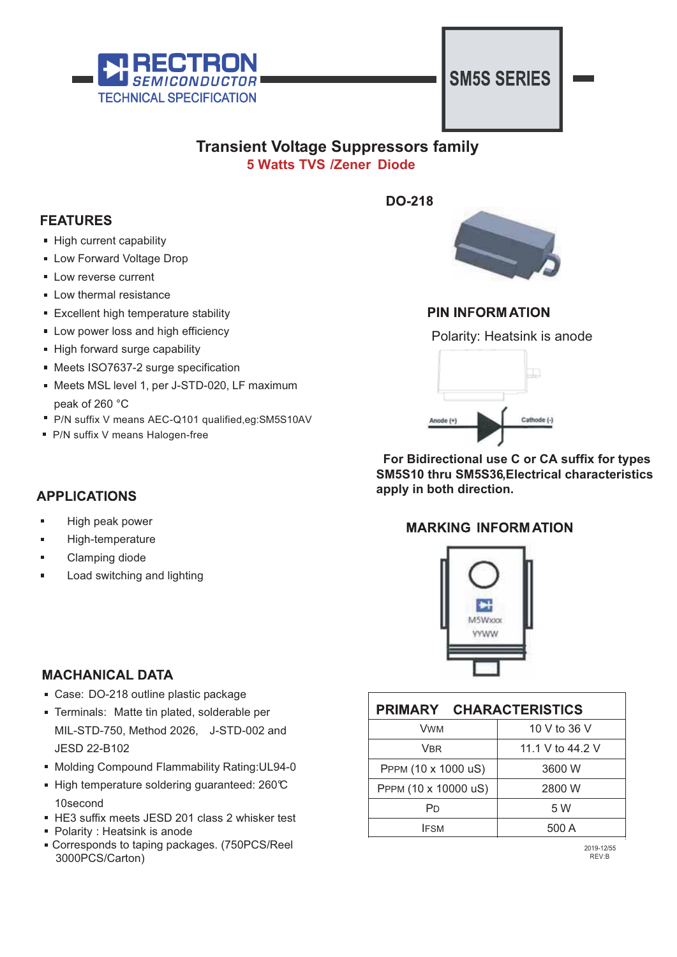

## **SM5S SERIES**

## **5 Watts TVS /Zener Diode Transient Voltage Suppressors family**



## **PIN INFORMATION**

Polarity: Heatsink is anode



 **For Bidirectional use C or CA suffix for types apply in both direction. SM5S10 thru SM5S36,Electrical characteristics** 

### **MARKING INFORMATION**



| PRIMARY CHARACTERISTICS |                  |  |  |  |  |
|-------------------------|------------------|--|--|--|--|
| <b>VWM</b>              | 10 V to 36 V     |  |  |  |  |
| <b>VBR</b>              | 11.1 V to 44.2 V |  |  |  |  |
| PPPM (10 x 1000 uS)     | 3600 W           |  |  |  |  |
| PPPM (10 x 10000 uS)    | 2800 W           |  |  |  |  |
| Pn                      | 5 W              |  |  |  |  |
| <b>IFSM</b>             | 500 A            |  |  |  |  |

2019-12/55 REV:B

## **APPLICATIONS**

peak of 260 °C

High peak power

High current capability **Low Forward Voltage Drop** 

**Low reverse current Low thermal resistance** 

**Excellent high temperature stability Low power loss and high efficiency** 

**Meets ISO7637-2 surge specification** 

Meets MSL level 1, per J-STD-020, LF maximum

P/N suffix V means AEC-Q101 qualified,eg:SM5S10AV

High forward surge capability

P/N suffix V means Halogen-free

- High-temperature
- Clamping diode
- Load switching and lighting

### **MACHANICAL DATA**

- Case: DO-218 outline plastic package
- Terminals: Matte tin plated, solderable per MIL-STD-750, Method 2026, J-STD-002 and JESD 22-B102
- Molding Compound Flammability Rating: UL94-0
- High temperature soldering guaranteed: 260℃ 10second
- HE3 suffix meets JESD 201 class 2 whisker test
- Polarity : Heatsink is anode
- Corresponds to taping packages. (750PCS/Reel 3000PCS/Carton)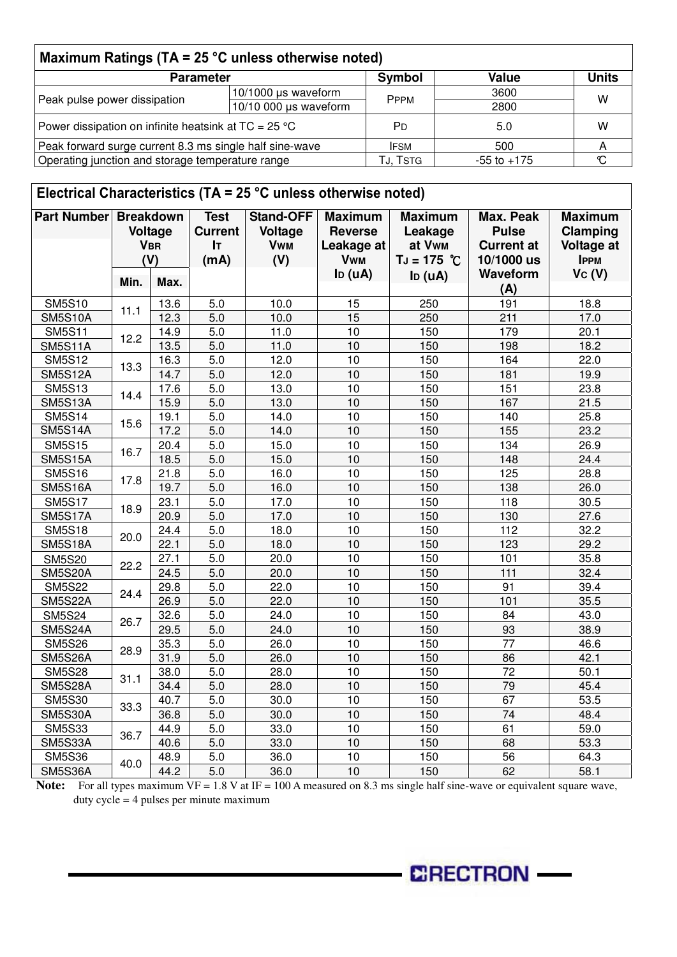| Maximum Ratings (TA = $25^{\circ}$ C unless otherwise noted) |                        |                 |       |   |  |  |
|--------------------------------------------------------------|------------------------|-----------------|-------|---|--|--|
| <b>Parameter</b>                                             | Symbol                 | <b>Value</b>    | Units |   |  |  |
| Peak pulse power dissipation                                 | 10/1000 µs waveform    | <b>PPPM</b>     | 3600  | w |  |  |
|                                                              | $10/10000$ µs waveform |                 | 2800  |   |  |  |
| Power dissipation on infinite heatsink at $TC = 25 °C$       |                        | PD              | 5.0   | w |  |  |
| Peak forward surge current 8.3 ms single half sine-wave      |                        | <b>IFSM</b>     | 500   |   |  |  |
| Operating junction and storage temperature range             | TJ, TSTG               | $-55$ to $+175$ |       |   |  |  |

| Electrical Characteristics ( $TA = 25$ °C unless otherwise noted) |      |                                                         |                                                    |                                                  |                                                              |                                                      |                                                              |                                                                |
|-------------------------------------------------------------------|------|---------------------------------------------------------|----------------------------------------------------|--------------------------------------------------|--------------------------------------------------------------|------------------------------------------------------|--------------------------------------------------------------|----------------------------------------------------------------|
| <b>Part Number</b>                                                |      | <b>Breakdown</b><br><b>Voltage</b><br><b>VBR</b><br>(V) | <b>Test</b><br><b>Current</b><br><b>IT</b><br>(mA) | <b>Stand-OFF</b><br>Voltage<br><b>Vwm</b><br>(V) | <b>Maximum</b><br><b>Reverse</b><br>Leakage at<br><b>Vwm</b> | <b>Maximum</b><br>Leakage<br>at Vwm<br>$TJ = 175 °C$ | Max. Peak<br><b>Pulse</b><br><b>Current at</b><br>10/1000 us | <b>Maximum</b><br>Clamping<br><b>Voltage at</b><br><b>IPPM</b> |
|                                                                   | Min. | Max.                                                    |                                                    |                                                  | I <sub>D</sub> (uA)                                          | $I_D (uA)$                                           | Waveform<br>(A)                                              | Vc <sub>(V)</sub>                                              |
| <b>SM5S10</b>                                                     |      | 13.6                                                    | 5.0                                                | 10.0                                             | 15                                                           | 250                                                  | 191                                                          | 18.8                                                           |
| <b>SM5S10A</b>                                                    | 11.1 | 12.3                                                    | 5.0                                                | 10.0                                             | 15                                                           | 250                                                  | 211                                                          | 17.0                                                           |
| <b>SM5S11</b>                                                     |      | 14.9                                                    | 5.0                                                | 11.0                                             | 10                                                           | 150                                                  | 179                                                          | 20.1                                                           |
| <b>SM5S11A</b>                                                    | 12.2 | 13.5                                                    | $\overline{5.0}$                                   | 11.0                                             | 10                                                           | 150                                                  | 198                                                          | 18.2                                                           |
| <b>SM5S12</b>                                                     |      | 16.3                                                    | 5.0                                                | 12.0                                             | 10                                                           | 150                                                  | 164                                                          | 22.0                                                           |
| <b>SM5S12A</b>                                                    | 13.3 | 14.7                                                    | 5.0                                                | 12.0                                             | 10                                                           | 150                                                  | 181                                                          | 19.9                                                           |
| <b>SM5S13</b>                                                     |      | 17.6                                                    | $\overline{5.0}$                                   | 13.0                                             | 10                                                           | 150                                                  | 151                                                          | 23.8                                                           |
| <b>SM5S13A</b>                                                    | 14.4 | 15.9                                                    | 5.0                                                | 13.0                                             | 10                                                           | 150                                                  | 167                                                          | 21.5                                                           |
| <b>SM5S14</b>                                                     |      | 19.1                                                    | 5.0                                                | 14.0                                             | 10                                                           | 150                                                  | 140                                                          | 25.8                                                           |
| <b>SM5S14A</b>                                                    | 15.6 | 17.2                                                    | 5.0                                                | 14.0                                             | 10                                                           | 150                                                  | 155                                                          | 23.2                                                           |
| <b>SM5S15</b>                                                     | 16.7 | 20.4                                                    | 5.0                                                | 15.0                                             | 10                                                           | 150                                                  | 134                                                          | 26.9                                                           |
| <b>SM5S15A</b>                                                    |      | 18.5                                                    | 5.0                                                | 15.0                                             | 10                                                           | 150                                                  | 148                                                          | 24.4                                                           |
| <b>SM5S16</b>                                                     |      | 21.8                                                    | 5.0                                                | 16.0                                             | 10                                                           | 150                                                  | 125                                                          | 28.8                                                           |
| <b>SM5S16A</b>                                                    | 17.8 | 19.7                                                    | 5.0                                                | 16.0                                             | 10                                                           | 150                                                  | 138                                                          | 26.0                                                           |
| <b>SM5S17</b>                                                     | 18.9 | 23.1                                                    | $\overline{5.0}$                                   | 17.0                                             | 10                                                           | 150                                                  | 118                                                          | 30.5                                                           |
| <b>SM5S17A</b>                                                    |      | 20.9                                                    | $\overline{5.0}$                                   | 17.0                                             | 10                                                           | 150                                                  | 130                                                          | 27.6                                                           |
| <b>SM5S18</b>                                                     | 20.0 | 24.4                                                    | 5.0                                                | 18.0                                             | 10                                                           | 150                                                  | 112                                                          | 32.2                                                           |
| <b>SM5S18A</b>                                                    |      | 22.1                                                    | 5.0                                                | 18.0                                             | 10                                                           | 150                                                  | 123                                                          | 29.2                                                           |
| <b>SM5S20</b>                                                     | 22.2 | 27.1                                                    | 5.0                                                | 20.0                                             | 10                                                           | 150                                                  | 101                                                          | 35.8                                                           |
| <b>SM5S20A</b>                                                    |      | 24.5                                                    | 5.0                                                | 20.0                                             | 10                                                           | 150                                                  | $\overline{111}$                                             | 32.4                                                           |
| <b>SM5S22</b>                                                     | 24.4 | 29.8                                                    | 5.0                                                | 22.0                                             | 10                                                           | 150                                                  | 91                                                           | 39.4                                                           |
| <b>SM5S22A</b>                                                    |      | 26.9                                                    | 5.0                                                | 22.0                                             | 10                                                           | 150                                                  | 101                                                          | 35.5                                                           |
| <b>SM5S24</b>                                                     | 26.7 | 32.6                                                    | $\overline{5.0}$                                   | 24.0                                             | 10                                                           | 150                                                  | 84                                                           | 43.0                                                           |
| SM5S24A                                                           |      | 29.5                                                    | 5.0                                                | 24.0                                             | 10                                                           | 150                                                  | 93                                                           | 38.9                                                           |
| <b>SM5S26</b>                                                     | 28.9 | 35.3                                                    | 5.0                                                | 26.0                                             | 10                                                           | 150                                                  | 77                                                           | 46.6                                                           |
| <b>SM5S26A</b>                                                    |      | 31.9                                                    | 5.0                                                | 26.0                                             | 10                                                           | 150                                                  | 86                                                           | 42.1                                                           |
| <b>SM5S28</b>                                                     | 31.1 | 38.0                                                    | 5.0                                                | 28.0                                             | 10                                                           | 150                                                  | 72                                                           | 50.1                                                           |
| SM5S28A                                                           |      | 34.4                                                    | 5.0                                                | 28.0                                             | 10                                                           | 150                                                  | 79                                                           | 45.4                                                           |
| <b>SM5S30</b>                                                     | 33.3 | 40.7                                                    | 5.0                                                | 30.0                                             | 10                                                           | 150                                                  | 67                                                           | 53.5                                                           |
| <b>SM5S30A</b>                                                    |      | 36.8                                                    | 5.0                                                | 30.0                                             | 10                                                           | 150                                                  | 74                                                           | 48.4                                                           |
| <b>SM5S33</b>                                                     | 36.7 | 44.9                                                    | 5.0                                                | 33.0                                             | 10                                                           | 150                                                  | 61                                                           | 59.0                                                           |
| SM5S33A                                                           |      | 40.6                                                    | 5.0                                                | 33.0                                             | 10                                                           | 150                                                  | 68                                                           | 53.3                                                           |
| <b>SM5S36</b>                                                     | 40.0 | 48.9                                                    | 5.0                                                | 36.0                                             | 10                                                           | 150                                                  | 56                                                           | 64.3                                                           |
| SM5S36A                                                           |      | 44.2                                                    | 5.0                                                | 36.0                                             | 10                                                           | 150                                                  | 62                                                           | 58.1                                                           |

Note: For all types maximum VF = 1.8 V at IF = 100 A measured on 8.3 ms single half sine-wave or equivalent square wave, duty cycle = 4 pulses per minute maximum

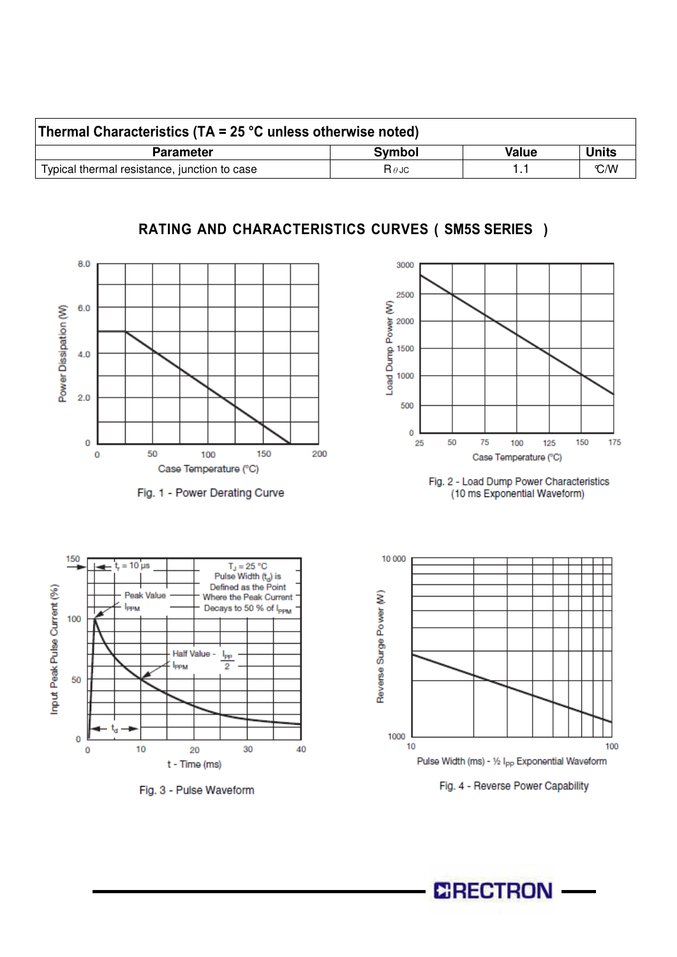| Thermal Characteristics (TA = 25 $^{\circ}$ C unless otherwise noted) |                         |       |              |  |  |  |
|-----------------------------------------------------------------------|-------------------------|-------|--------------|--|--|--|
| <b>Parameter</b>                                                      | Symbol                  | Value | <b>Units</b> |  |  |  |
| Typical thermal resistance, junction to case                          | $\mathsf R$ $\theta$ JC |       | C/M          |  |  |  |

## RATING AND CHARACTERISTICS CURVES ( SM5S SERIES )



Fig. 1 - Power Derating Curve













**CRECTRON**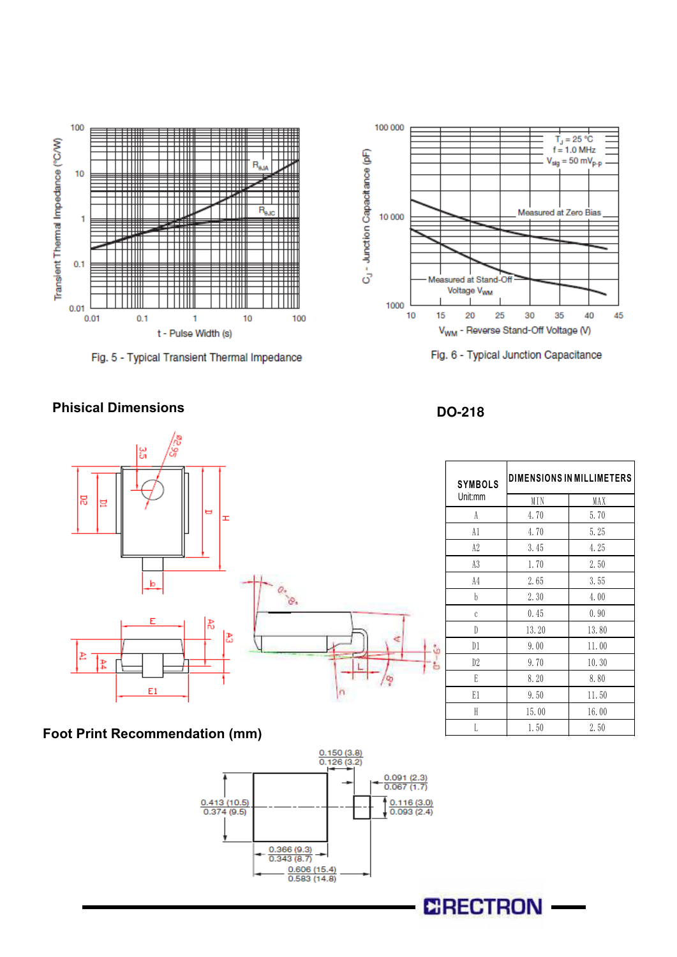

Fig. 5 - Typical Transient Thermal Impedance





#### **Phisical Dimensions**



## **Foot Print Recommendation (mm)**



#### **DO-218**

| <b>SYMBOLS</b> | <b>DIMENSIONS IN MILLIMETERS</b> |       |  |
|----------------|----------------------------------|-------|--|
| Unit:mm        | MIN                              | MAX   |  |
| A              | 4.70                             | 5.70  |  |
| A1             | 4.70                             | 5.25  |  |
| A2             | 3.45                             | 4.25  |  |
| A3             | 1.70                             | 2.50  |  |
| A4             | 2.65                             | 3.55  |  |
| b              | 2.30                             | 4.00  |  |
| $\mathcal C$   | 0.45                             | 0.90  |  |
| D              | 13.20                            | 13.80 |  |
| D1<br>j        | 9.00                             | 11.00 |  |
| D2             | 9.70                             | 10.30 |  |
| E              | 8.20                             | 8.80  |  |
| E1             | 9.50                             | 11.50 |  |
| H              | 15.00                            | 16.00 |  |
| Ī.             | 1.50                             | 2.50  |  |

# **CRECTRON**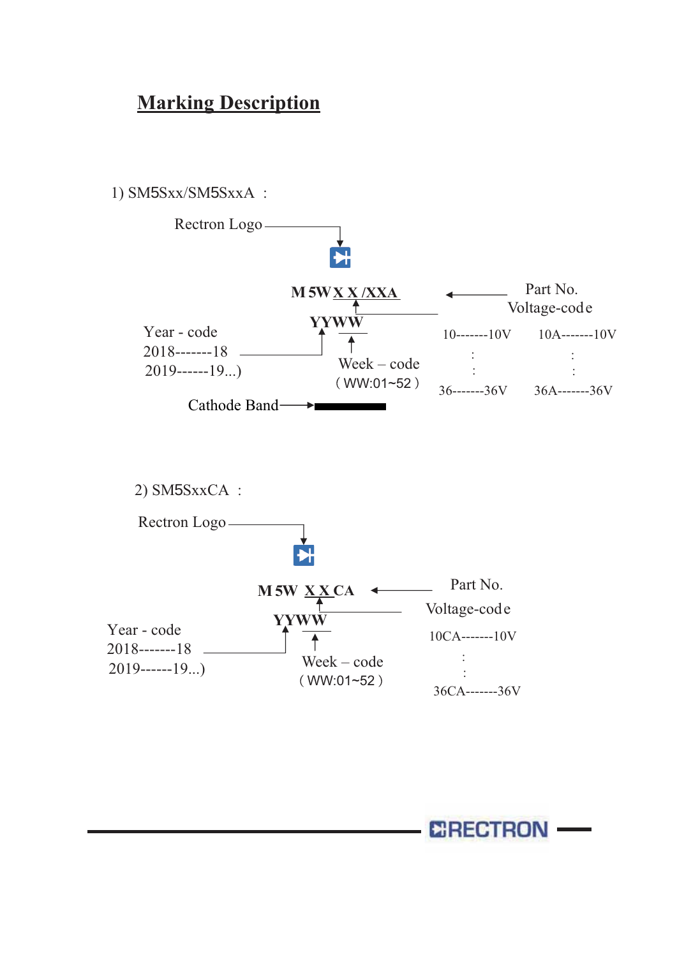# **Marking Description**



**ERECTRON**